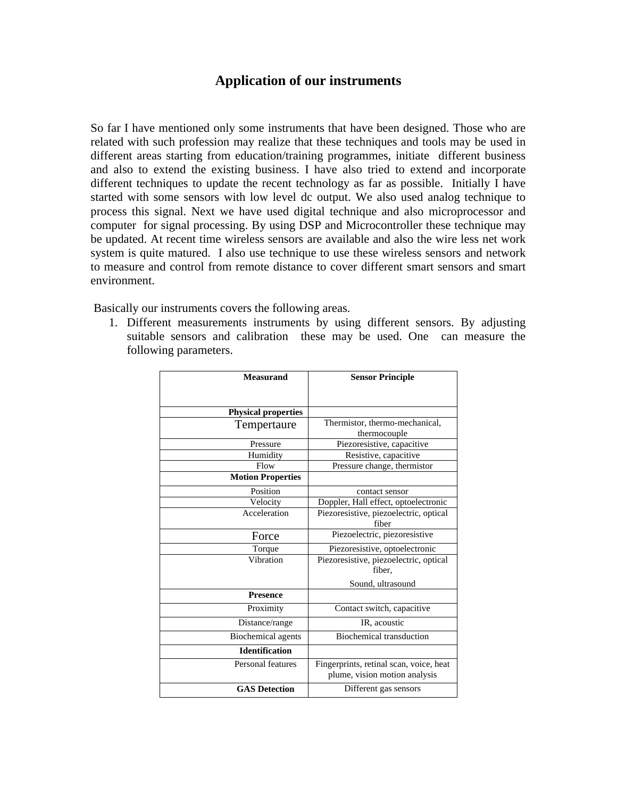## **Application of our instruments**

So far I have mentioned only some instruments that have been designed. Those who are related with such profession may realize that these techniques and tools may be used in different areas starting from education/training programmes, initiate different business and also to extend the existing business. I have also tried to extend and incorporate different techniques to update the recent technology as far as possible. Initially I have started with some sensors with low level dc output. We also used analog technique to process this signal. Next we have used digital technique and also microprocessor and computer for signal processing. By using DSP and Microcontroller these technique may be updated. At recent time wireless sensors are available and also the wire less net work system is quite matured. I also use technique to use these wireless sensors and network to measure and control from remote distance to cover different smart sensors and smart environment.

Basically our instruments covers the following areas.

1. Different measurements instruments by using different sensors. By adjusting suitable sensors and calibration these may be used. One can measure the following parameters.

| <b>Measurand</b>           | <b>Sensor Principle</b>                                                  |
|----------------------------|--------------------------------------------------------------------------|
|                            |                                                                          |
|                            |                                                                          |
| <b>Physical properties</b> |                                                                          |
| Tempertaure                | Thermistor, thermo-mechanical,                                           |
|                            | thermocouple                                                             |
| Pressure                   | Piezoresistive, capacitive                                               |
| Humidity                   | Resistive, capacitive                                                    |
| Flow                       | Pressure change, thermistor                                              |
| <b>Motion Properties</b>   |                                                                          |
| Position                   | contact sensor                                                           |
| Velocity                   | Doppler, Hall effect, optoelectronic                                     |
| Acceleration               | Piezoresistive, piezoelectric, optical<br>fiber                          |
| Force                      | Piezoelectric, piezoresistive                                            |
| Torque                     | Piezoresistive, optoelectronic                                           |
| Vibration                  | Piezoresistive, piezoelectric, optical<br>fiber.                         |
|                            | Sound, ultrasound                                                        |
| <b>Presence</b>            |                                                                          |
| Proximity                  | Contact switch, capacitive                                               |
| Distance/range             | IR, acoustic                                                             |
| <b>Biochemical</b> agents  | <b>Biochemical transduction</b>                                          |
| <b>Identification</b>      |                                                                          |
| Personal features          | Fingerprints, retinal scan, voice, heat<br>plume, vision motion analysis |
| <b>GAS</b> Detection       | Different gas sensors                                                    |